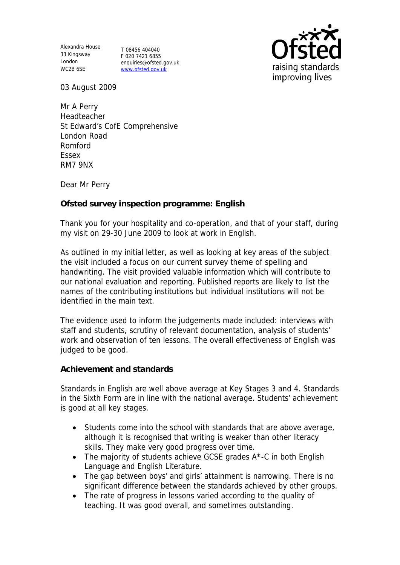Alexandra House 33 Kingsway London WC2B 6SE

T 08456 404040 F 020 7421 6855 enquiries@ofsted.gov.uk www.ofsted.gov.uk



03 August 2009

Mr A Perry Headteacher St Edward's CofE Comprehensive London Road Romford Essex RM7 9NX

Dear Mr Perry

**Ofsted survey inspection programme: English** 

Thank you for your hospitality and co-operation, and that of your staff, during my visit on 29-30 June 2009 to look at work in English.

As outlined in my initial letter, as well as looking at key areas of the subject the visit included a focus on our current survey theme of spelling and handwriting. The visit provided valuable information which will contribute to our national evaluation and reporting. Published reports are likely to list the names of the contributing institutions but individual institutions will not be identified in the main text.

The evidence used to inform the judgements made included: interviews with staff and students, scrutiny of relevant documentation, analysis of students' work and observation of ten lessons. The overall effectiveness of English was judged to be good.

**Achievement and standards** 

Standards in English are well above average at Key Stages 3 and 4. Standards in the Sixth Form are in line with the national average. Students' achievement is good at all key stages.

- Students come into the school with standards that are above average, although it is recognised that writing is weaker than other literacy skills. They make very good progress over time.
- The majority of students achieve GCSE grades A\*-C in both English Language and English Literature.
- The gap between boys' and girls' attainment is narrowing. There is no significant difference between the standards achieved by other groups.
- The rate of progress in lessons varied according to the quality of teaching. It was good overall, and sometimes outstanding.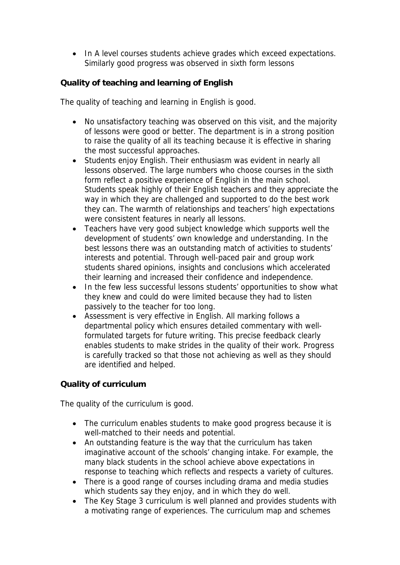• In A level courses students achieve grades which exceed expectations. Similarly good progress was observed in sixth form lessons

**Quality of teaching and learning of English**

The quality of teaching and learning in English is good.

- No unsatisfactory teaching was observed on this visit, and the majority of lessons were good or better. The department is in a strong position to raise the quality of all its teaching because it is effective in sharing the most successful approaches.
- Students enjoy English. Their enthusiasm was evident in nearly all lessons observed. The large numbers who choose courses in the sixth form reflect a positive experience of English in the main school. Students speak highly of their English teachers and they appreciate the way in which they are challenged and supported to do the best work they can. The warmth of relationships and teachers' high expectations were consistent features in nearly all lessons.
- Teachers have very good subject knowledge which supports well the development of students' own knowledge and understanding. In the best lessons there was an outstanding match of activities to students' interests and potential. Through well-paced pair and group work students shared opinions, insights and conclusions which accelerated their learning and increased their confidence and independence.
- In the few less successful lessons students' opportunities to show what they knew and could do were limited because they had to listen passively to the teacher for too long.
- Assessment is very effective in English. All marking follows a departmental policy which ensures detailed commentary with wellformulated targets for future writing. This precise feedback clearly enables students to make strides in the quality of their work. Progress is carefully tracked so that those not achieving as well as they should are identified and helped.

## **Quality of curriculum**

The quality of the curriculum is good.

- The curriculum enables students to make good progress because it is well-matched to their needs and potential.
- An outstanding feature is the way that the curriculum has taken imaginative account of the schools' changing intake. For example, the many black students in the school achieve above expectations in response to teaching which reflects and respects a variety of cultures.
- There is a good range of courses including drama and media studies which students say they enjoy, and in which they do well.
- The Key Stage 3 curriculum is well planned and provides students with a motivating range of experiences. The curriculum map and schemes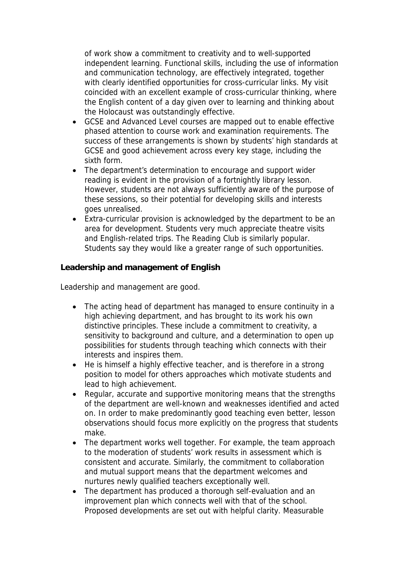of work show a commitment to creativity and to well-supported independent learning. Functional skills, including the use of information and communication technology, are effectively integrated, together with clearly identified opportunities for cross-curricular links. My visit coincided with an excellent example of cross-curricular thinking, where the English content of a day given over to learning and thinking about the Holocaust was outstandingly effective.

- GCSE and Advanced Level courses are mapped out to enable effective phased attention to course work and examination requirements. The success of these arrangements is shown by students' high standards at GCSE and good achievement across every key stage, including the sixth form.
- The department's determination to encourage and support wider reading is evident in the provision of a fortnightly library lesson. However, students are not always sufficiently aware of the purpose of these sessions, so their potential for developing skills and interests goes unrealised.
- Extra-curricular provision is acknowledged by the department to be an area for development. Students very much appreciate theatre visits and English-related trips. The Reading Club is similarly popular. Students say they would like a greater range of such opportunities.

**Leadership and management of English**

Leadership and management are good.

- The acting head of department has managed to ensure continuity in a high achieving department, and has brought to its work his own distinctive principles. These include a commitment to creativity, a sensitivity to background and culture, and a determination to open up possibilities for students through teaching which connects with their interests and inspires them.
- He is himself a highly effective teacher, and is therefore in a strong position to model for others approaches which motivate students and lead to high achievement.
- Regular, accurate and supportive monitoring means that the strengths of the department are well-known and weaknesses identified and acted on. In order to make predominantly good teaching even better, lesson observations should focus more explicitly on the progress that students make.
- The department works well together. For example, the team approach to the moderation of students' work results in assessment which is consistent and accurate. Similarly, the commitment to collaboration and mutual support means that the department welcomes and nurtures newly qualified teachers exceptionally well.
- The department has produced a thorough self-evaluation and an improvement plan which connects well with that of the school. Proposed developments are set out with helpful clarity. Measurable